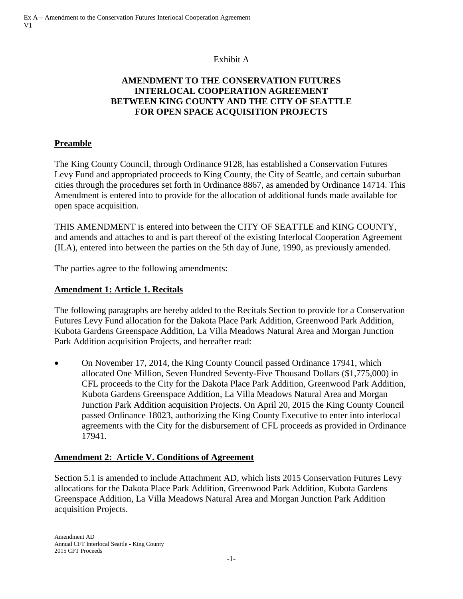## Exhibit A

# **AMENDMENT TO THE CONSERVATION FUTURES INTERLOCAL COOPERATION AGREEMENT BETWEEN KING COUNTY AND THE CITY OF SEATTLE FOR OPEN SPACE ACQUISITION PROJECTS**

## **Preamble**

The King County Council, through Ordinance 9128, has established a Conservation Futures Levy Fund and appropriated proceeds to King County, the City of Seattle, and certain suburban cities through the procedures set forth in Ordinance 8867, as amended by Ordinance 14714. This Amendment is entered into to provide for the allocation of additional funds made available for open space acquisition.

THIS AMENDMENT is entered into between the CITY OF SEATTLE and KING COUNTY, and amends and attaches to and is part thereof of the existing Interlocal Cooperation Agreement (ILA), entered into between the parties on the 5th day of June, 1990, as previously amended.

The parties agree to the following amendments:

## **Amendment 1: Article 1. Recitals**

The following paragraphs are hereby added to the Recitals Section to provide for a Conservation Futures Levy Fund allocation for the Dakota Place Park Addition, Greenwood Park Addition, Kubota Gardens Greenspace Addition, La Villa Meadows Natural Area and Morgan Junction Park Addition acquisition Projects, and hereafter read:

 On November 17, 2014, the King County Council passed Ordinance 17941, which allocated One Million, Seven Hundred Seventy-Five Thousand Dollars (\$1,775,000) in CFL proceeds to the City for the Dakota Place Park Addition, Greenwood Park Addition, Kubota Gardens Greenspace Addition, La Villa Meadows Natural Area and Morgan Junction Park Addition acquisition Projects. On April 20, 2015 the King County Council passed Ordinance 18023, authorizing the King County Executive to enter into interlocal agreements with the City for the disbursement of CFL proceeds as provided in Ordinance 17941.

### **Amendment 2: Article V. Conditions of Agreement**

Section 5.1 is amended to include Attachment AD, which lists 2015 Conservation Futures Levy allocations for the Dakota Place Park Addition, Greenwood Park Addition, Kubota Gardens Greenspace Addition, La Villa Meadows Natural Area and Morgan Junction Park Addition acquisition Projects.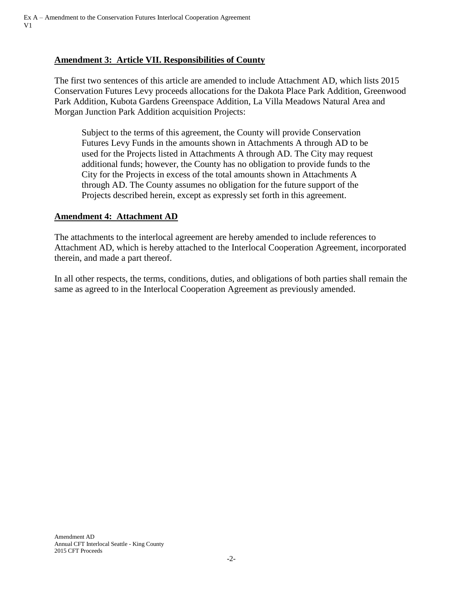# **Amendment 3: Article VII. Responsibilities of County**

The first two sentences of this article are amended to include Attachment AD, which lists 2015 Conservation Futures Levy proceeds allocations for the Dakota Place Park Addition, Greenwood Park Addition, Kubota Gardens Greenspace Addition, La Villa Meadows Natural Area and Morgan Junction Park Addition acquisition Projects:

Subject to the terms of this agreement, the County will provide Conservation Futures Levy Funds in the amounts shown in Attachments A through AD to be used for the Projects listed in Attachments A through AD. The City may request additional funds; however, the County has no obligation to provide funds to the City for the Projects in excess of the total amounts shown in Attachments A through AD. The County assumes no obligation for the future support of the Projects described herein, except as expressly set forth in this agreement.

#### **Amendment 4: Attachment AD**

The attachments to the interlocal agreement are hereby amended to include references to Attachment AD, which is hereby attached to the Interlocal Cooperation Agreement, incorporated therein, and made a part thereof.

In all other respects, the terms, conditions, duties, and obligations of both parties shall remain the same as agreed to in the Interlocal Cooperation Agreement as previously amended.